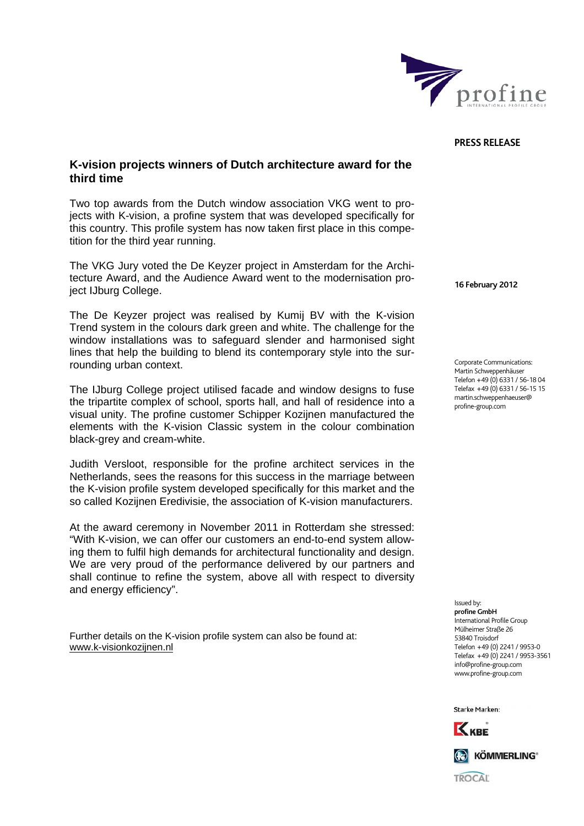

## **PRESS RELEASE**

## **K-vision projects winners of Dutch architecture award for the third time**

Two top awards from the Dutch window association VKG went to projects with K-vision, a profine system that was developed specifically for this country. This profile system has now taken first place in this competition for the third year running.

The VKG Jury voted the De Keyzer project in Amsterdam for the Architecture Award, and the Audience Award went to the modernisation project IJburg College.

The De Keyzer project was realised by Kumij BV with the K-vision Trend system in the colours dark green and white. The challenge for the window installations was to safeguard slender and harmonised sight lines that help the building to blend its contemporary style into the surrounding urban context.

The IJburg College project utilised facade and window designs to fuse the tripartite complex of school, sports hall, and hall of residence into a visual unity. The profine customer Schipper Kozijnen manufactured the elements with the K-vision Classic system in the colour combination black-grey and cream-white.

Judith Versloot, responsible for the profine architect services in the Netherlands, sees the reasons for this success in the marriage between the K-vision profile system developed specifically for this market and the so called Kozijnen Eredivisie, the association of K-vision manufacturers.

At the award ceremony in November 2011 in Rotterdam she stressed: "With K-vision, we can offer our customers an end-to-end system allowing them to fulfil high demands for architectural functionality and design. We are very proud of the performance delivered by our partners and shall continue to refine the system, above all with respect to diversity and energy efficiency".

Further details on the K-vision profile system can also be found at: [www.k-visionkozijnen.nl](http://www.k-visionkozijnen.nl/)

**16 February 2012** 

Corporate Communications: Martin Schweppenhäuser Telefon +49 (0) 6331 / 56-18 04 Telefax +49 (0) 6331 / 56-15 15 martin.schweppenhaeuser@ profine-group.com

Issued by: **profine GmbH**  .<br>International Profile Group Mülheimer Straße 26 53840 Troisdorf Telefon +49 (0) 2241 / 9953-0 Telefax +49 (0) 2241 / 9953-3561 info@profine-group.com www.profine-group.com

Ctarke Marken



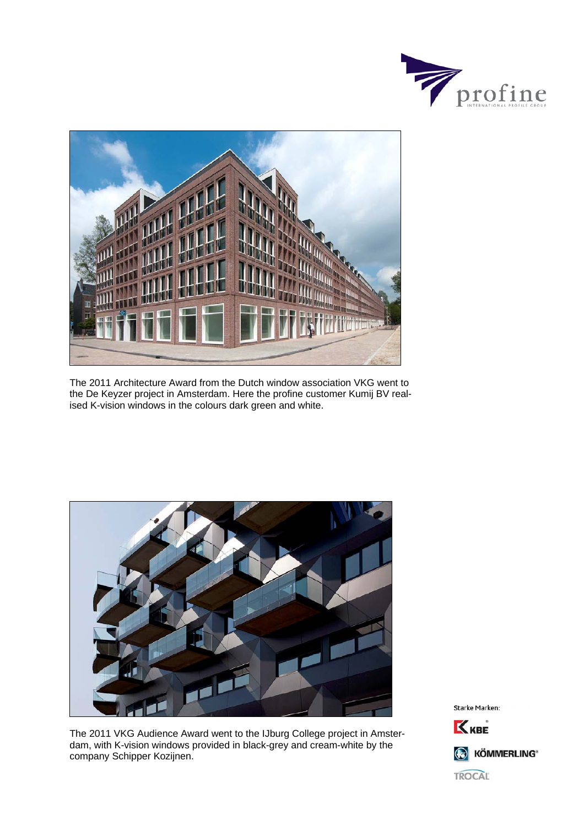



The 2011 Architecture Award from the Dutch window association VKG went to the De Keyzer project in Amsterdam. Here the profine customer Kumij BV realised K-vision windows in the colours dark green and white.



The 2011 VKG Audience Award went to the IJburg College project in Amsterdam, with K-vision windows provided in black-grey and cream-white by the company Schipper Kozijnen.

Starke Marken: